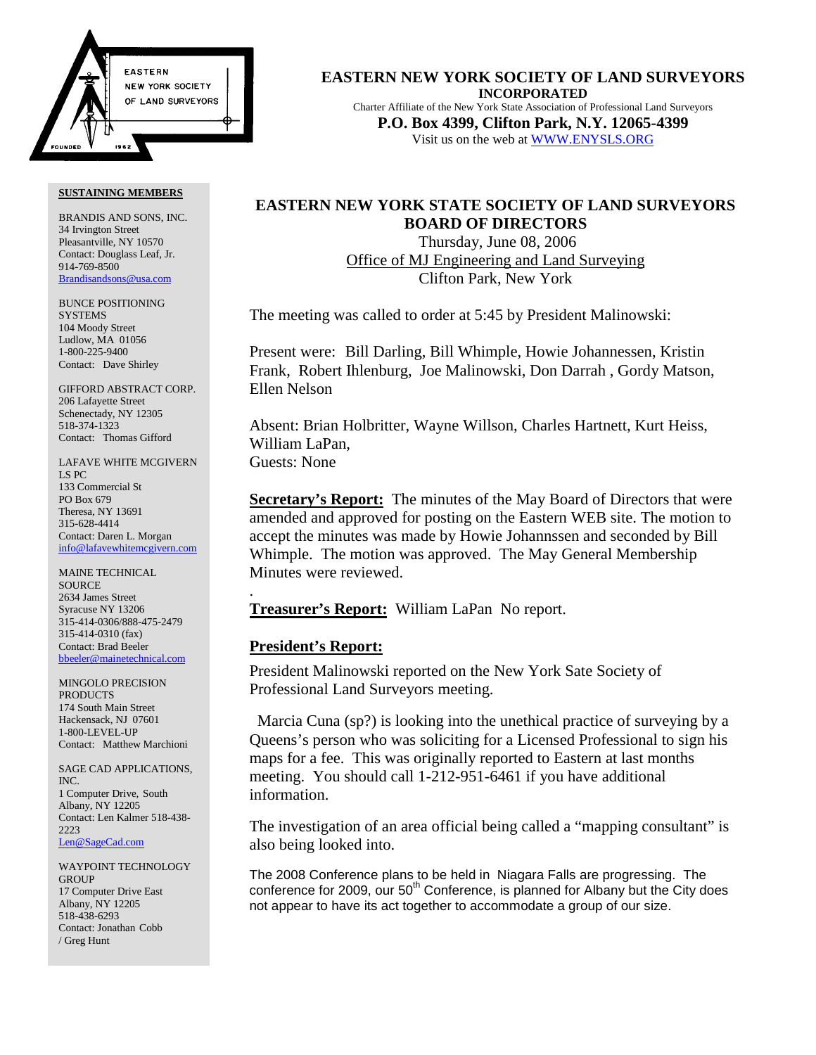

BRANDIS AND SONS, INC. 34 Irvington Street Pleasantville, NY 10570 Contact: Douglass Leaf, Jr. 914-769-8500 Brandisandsons@usa.com

BUNCE POSITIONING **SYSTEMS** 104 Moody Street Ludlow, MA 01056 1-800-225-9400 Contact: Dave Shirley

GIFFORD ABSTRACT CORP. 206 Lafayette Street Schenectady, NY 12305 518-374-1323 Contact: Thomas Gifford

LAFAVE WHITE MCGIVERN LS PC 133 Commercial St PO Box 679 Theresa, NY 13691 315-628-4414 Contact: Daren L. Morgan info@lafavewhitemcgivern.com

MAINE TECHNICAL **SOURCE** 2634 James Street Syracuse NY 13206 315-414-0306/888-475-2479 315-414-0310 (fax) Contact: Brad Beeler bbeeler@mainetechnical.com

MINGOLO PRECISION PRODUCTS 174 South Main Street Hackensack, NJ 07601 1-800-LEVEL-UP Contact: Matthew Marchioni

SAGE CAD APPLICATIONS, INC. 1 Computer Drive, South Albany, NY 12205 Contact: Len Kalmer 518-438- 2223 Len@SageCad.com

WAYPOINT TECHNOLOGY **GROUP** 17 Computer Drive East Albany, NY 12205 518-438-6293 Contact: Jonathan Cobb / Greg Hunt

**EASTERN NEW YORK SOCIETY OF LAND SURVEYORS INCORPORATED** Charter Affiliate of the New York State Association of Professional Land Surveyors **P.O. Box 4399, Clifton Park, N.Y. 12065-4399** Visit us on the web at WWW.ENYSLS.ORG

## **EASTERN NEW YORK STATE SOCIETY OF LAND SURVEYORS BOARD OF DIRECTORS**

 Thursday, June 08, 2006 Office of MJ Engineering and Land Surveying Clifton Park, New York

The meeting was called to order at 5:45 by President Malinowski:

Present were: Bill Darling, Bill Whimple, Howie Johannessen, Kristin Frank, Robert Ihlenburg, Joe Malinowski, Don Darrah , Gordy Matson, Ellen Nelson

Absent: Brian Holbritter, Wayne Willson, Charles Hartnett, Kurt Heiss, William LaPan, Guests: None

**Secretary's Report:** The minutes of the May Board of Directors that were amended and approved for posting on the Eastern WEB site. The motion to accept the minutes was made by Howie Johannssen and seconded by Bill Whimple. The motion was approved. The May General Membership Minutes were reviewed.

**Treasurer's Report:** William LaPan No report.

## **President's Report:**

.

President Malinowski reported on the New York Sate Society of Professional Land Surveyors meeting.

 Marcia Cuna (sp?) is looking into the unethical practice of surveying by a Queens's person who was soliciting for a Licensed Professional to sign his maps for a fee. This was originally reported to Eastern at last months meeting. You should call 1-212-951-6461 if you have additional information.

The investigation of an area official being called a "mapping consultant" is also being looked into.

The 2008 Conference plans to be held in Niagara Falls are progressing. The conference for 2009, our  $50<sup>th</sup>$  Conference, is planned for Albany but the City does not appear to have its act together to accommodate a group of our size.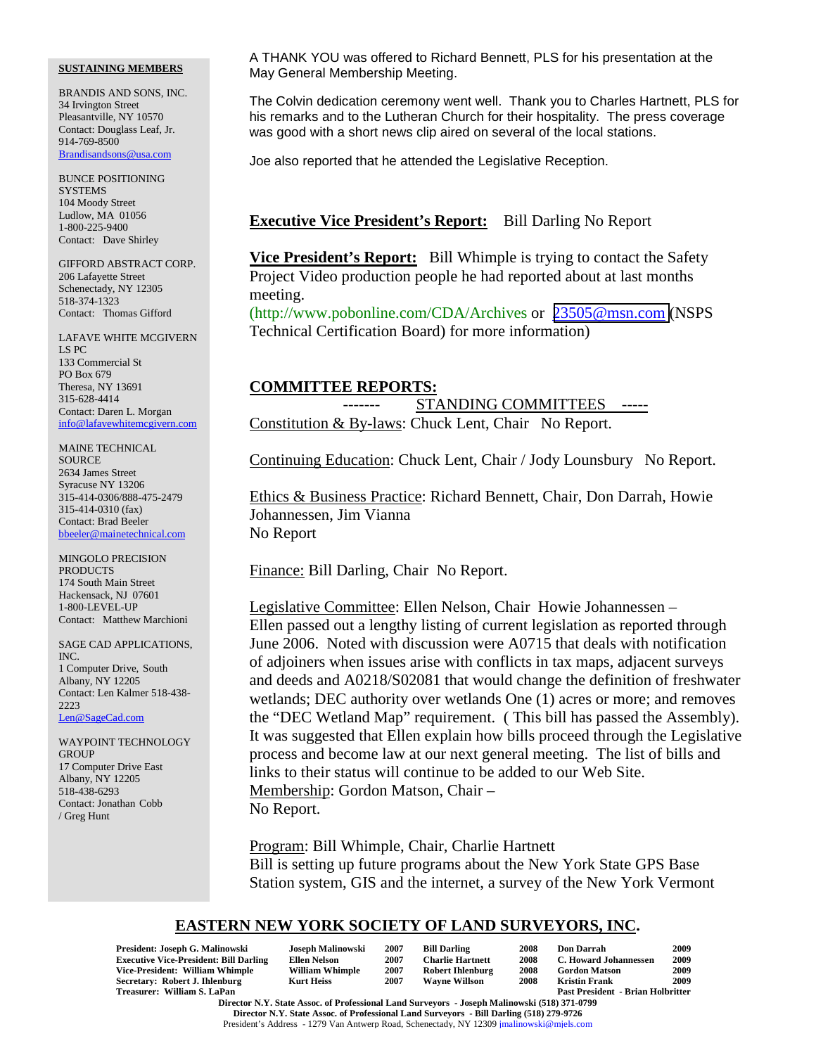BRANDIS AND SONS, INC. 34 Irvington Street Pleasantville, NY 10570 Contact: Douglass Leaf, Jr. 914-769-8500 Brandisandsons@usa.com

BUNCE POSITIONING **SYSTEMS** 104 Moody Street Ludlow, MA 01056 1-800-225-9400 Contact: Dave Shirley

GIFFORD ABSTRACT CORP. 206 Lafayette Street Schenectady, NY 12305 518-374-1323 Contact: Thomas Gifford

LAFAVE WHITE MCGIVERN LS PC 133 Commercial St PO Box 679 Theresa, NY 13691 315-628-4414 Contact: Daren L. Morgan info@lafavewhitemcgivern.com

MAINE TECHNICAL SOURCE 2634 James Street Syracuse NY 13206 315-414-0306/888-475-2479 315-414-0310 (fax) Contact: Brad Beeler bbeeler@mainetechnical.com

MINGOLO PRECISION PRODUCTS 174 South Main Street Hackensack, NJ 07601 1-800-LEVEL-UP Contact: Matthew Marchioni

SAGE CAD APPLICATIONS, INC. 1 Computer Drive, South Albany, NY 12205 Contact: Len Kalmer 518-438- 2223 Len@SageCad.com

WAYPOINT TECHNOLOGY **GROUP** 17 Computer Drive East Albany, NY 12205 518-438-6293 Contact: Jonathan Cobb / Greg Hunt

A THANK YOU was offered to Richard Bennett, PLS for his presentation at the May General Membership Meeting.

The Colvin dedication ceremony went well. Thank you to Charles Hartnett, PLS for his remarks and to the Lutheran Church for their hospitality. The press coverage was good with a short news clip aired on several of the local stations.

Joe also reported that he attended the Legislative Reception.

## **Executive Vice President's Report:** Bill Darling No Report

**Vice President's Report:** Bill Whimple is trying to contact the Safety Project Video production people he had reported about at last months meeting.

(http://www.pobonline.com/CDA/Archives or [23505@msn.com](mailto:23505@msn.com) (NSPS Technical Certification Board) for more information)

### **COMMITTEE REPORTS:**

STANDING COMMITTEES -----Constitution & By-laws: Chuck Lent, Chair No Report.

Continuing Education: Chuck Lent, Chair / Jody Lounsbury No Report.

Ethics & Business Practice: Richard Bennett, Chair, Don Darrah, Howie Johannessen, Jim Vianna No Report

Finance: Bill Darling, Chair No Report.

Legislative Committee: Ellen Nelson, Chair Howie Johannessen – Ellen passed out a lengthy listing of current legislation as reported through June 2006. Noted with discussion were A0715 that deals with notification of adjoiners when issues arise with conflicts in tax maps, adjacent surveys and deeds and A0218/S02081 that would change the definition of freshwater wetlands; DEC authority over wetlands One (1) acres or more; and removes the "DEC Wetland Map" requirement. ( This bill has passed the Assembly). It was suggested that Ellen explain how bills proceed through the Legislative process and become law at our next general meeting. The list of bills and links to their status will continue to be added to our Web Site. Membership: Gordon Matson, Chair – No Report.

Program: Bill Whimple, Chair, Charlie Hartnett Bill is setting up future programs about the New York State GPS Base Station system, GIS and the internet, a survey of the New York Vermont

## **EASTERN NEW YORK SOCIETY OF LAND SURVEYORS, INC.**

| President: Joseph G. Malinowski                                                              | Joseph Malinowski      | 2007 | <b>Bill Darling</b>     | 2008 | <b>Don Darrah</b>                        | 2009 |  |
|----------------------------------------------------------------------------------------------|------------------------|------|-------------------------|------|------------------------------------------|------|--|
| <b>Executive Vice-President: Bill Darling</b>                                                | <b>Ellen Nelson</b>    | 2007 | <b>Charlie Hartnett</b> | 2008 | C. Howard Johannessen                    | 2009 |  |
| Vice-President: William Whimple                                                              | <b>William Whimple</b> | 2007 | <b>Robert Ihlenburg</b> | 2008 | <b>Gordon Matson</b>                     | 2009 |  |
| Secretary: Robert J. Ihlenburg                                                               | <b>Kurt Heiss</b>      | 2007 | <b>Wavne Willson</b>    | 2008 | <b>Kristin Frank</b>                     | 2009 |  |
| Treasurer: William S. LaPan                                                                  |                        |      |                         |      | <b>Past President - Brian Holbritter</b> |      |  |
| Director N.Y. State Assoc. of Professional Land Surveyors - Joseph Malinowski (518) 371-0799 |                        |      |                         |      |                                          |      |  |

**Director N.Y. State Assoc. of Professional Land Surveyors - Bill Darling (518) 279-9726** President's Address - 1279 Van Antwerp Road, Schenectady, NY 12309 jmalinowski@mjels.com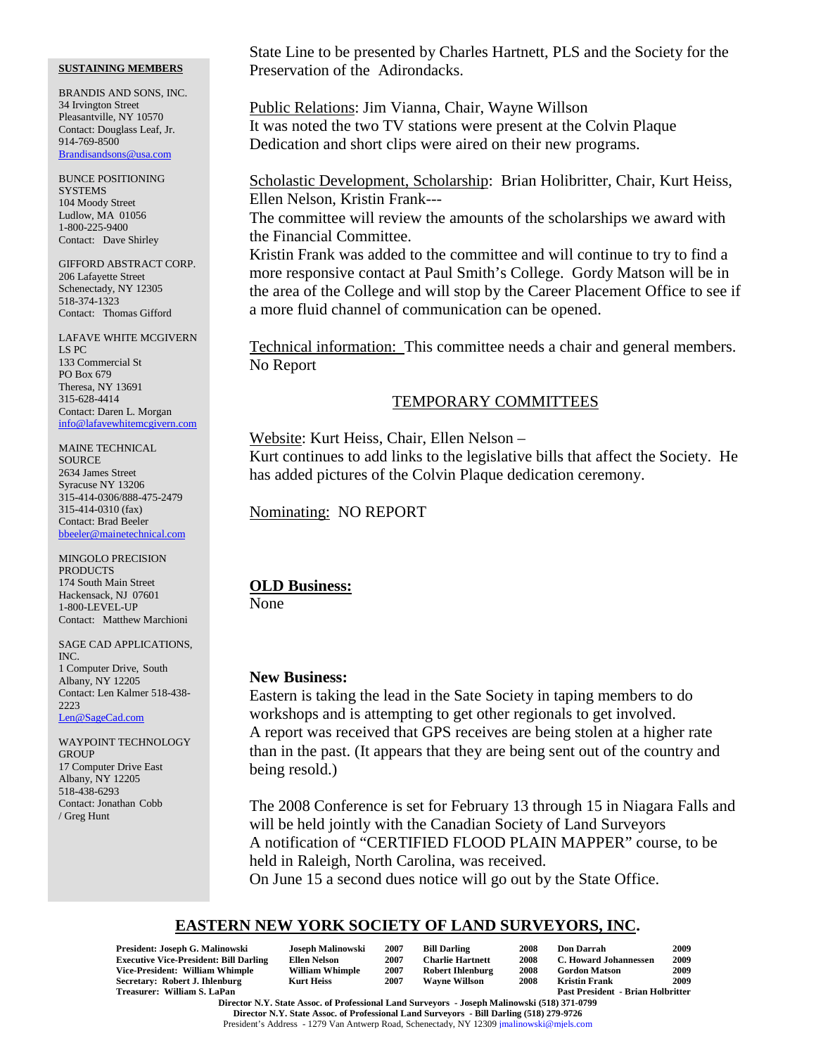BRANDIS AND SONS, INC. 34 Irvington Street Pleasantville, NY 10570 Contact: Douglass Leaf, Jr. 914-769-8500 Brandisandsons@usa.com

BUNCE POSITIONING **SYSTEMS** 104 Moody Street Ludlow, MA 01056 1-800-225-9400 Contact: Dave Shirley

GIFFORD ABSTRACT CORP. 206 Lafayette Street Schenectady, NY 12305 518-374-1323 Contact: Thomas Gifford

LAFAVE WHITE MCGIVERN LS PC 133 Commercial St PO Box 679 Theresa, NY 13691 315-628-4414 Contact: Daren L. Morgan info@lafavewhitemcgivern.com

MAINE TECHNICAL SOURCE 2634 James Street Syracuse NY 13206 315-414-0306/888-475-2479 315-414-0310 (fax) Contact: Brad Beeler bbeeler@mainetechnical.com

MINGOLO PRECISION **PRODUCTS** 174 South Main Street Hackensack, NJ 07601 1-800-LEVEL-UP Contact: Matthew Marchioni

SAGE CAD APPLICATIONS, INC. 1 Computer Drive, South Albany, NY 12205 Contact: Len Kalmer 518-438- 2223 Len@SageCad.com

WAYPOINT TECHNOLOGY **GROUP** 17 Computer Drive East Albany, NY 12205 518-438-6293 Contact: Jonathan Cobb / Greg Hunt

State Line to be presented by Charles Hartnett, PLS and the Society for the Preservation of the Adirondacks.

Public Relations: Jim Vianna, Chair, Wayne Willson It was noted the two TV stations were present at the Colvin Plaque Dedication and short clips were aired on their new programs.

Scholastic Development, Scholarship: Brian Holibritter, Chair, Kurt Heiss, Ellen Nelson, Kristin Frank---

The committee will review the amounts of the scholarships we award with the Financial Committee.

Kristin Frank was added to the committee and will continue to try to find a more responsive contact at Paul Smith's College. Gordy Matson will be in the area of the College and will stop by the Career Placement Office to see if a more fluid channel of communication can be opened.

Technical information: This committee needs a chair and general members. No Report

### TEMPORARY COMMITTEES

Website: Kurt Heiss, Chair, Ellen Nelson – Kurt continues to add links to the legislative bills that affect the Society. He has added pictures of the Colvin Plaque dedication ceremony.

Nominating: NO REPORT

### **OLD Business:**

None

### **New Business:**

Eastern is taking the lead in the Sate Society in taping members to do workshops and is attempting to get other regionals to get involved. A report was received that GPS receives are being stolen at a higher rate than in the past. (It appears that they are being sent out of the country and being resold.)

The 2008 Conference is set for February 13 through 15 in Niagara Falls and will be held jointly with the Canadian Society of Land Surveyors A notification of "CERTIFIED FLOOD PLAIN MAPPER" course, to be held in Raleigh, North Carolina, was received.

On June 15 a second dues notice will go out by the State Office.

# **EASTERN NEW YORK SOCIETY OF LAND SURVEYORS, INC.**

| President: Joseph G. Malinowski                                                              | Joseph Malinowski      | 2007 | <b>Bill Darling</b>     | 2008 | <b>Don Darrah</b>                        | 2009 |
|----------------------------------------------------------------------------------------------|------------------------|------|-------------------------|------|------------------------------------------|------|
| <b>Executive Vice-President: Bill Darling</b>                                                | Ellen Nelson           | 2007 | <b>Charlie Hartnett</b> | 2008 | C. Howard Johannessen                    | 2009 |
| Vice-President: William Whimple                                                              | <b>William Whimple</b> | 2007 | <b>Robert Ihlenburg</b> | 2008 | <b>Gordon Matson</b>                     | 2009 |
| Secretary: Robert J. Ihlenburg                                                               | <b>Kurt Heiss</b>      | 2007 | <b>Wavne Willson</b>    | 2008 | <b>Kristin Frank</b>                     | 2009 |
| Treasurer: William S. LaPan                                                                  |                        |      |                         |      | <b>Past President - Brian Holbritter</b> |      |
| Dinastin M. M. Ctris, Alana, of Durfand Land, Common and Transl. M. Burnsell (510) 251-0500. |                        |      |                         |      |                                          |      |

**Director N.Y. State Assoc. of Professional Land Surveyors - Joseph Malinowski (518) 371-0799 Director N.Y. State Assoc. of Professional Land Surveyors - Bill Darling (518) 279-9726** President's Address - 1279 Van Antwerp Road, Schenectady, NY 12309 jmalinowski@mjels.com